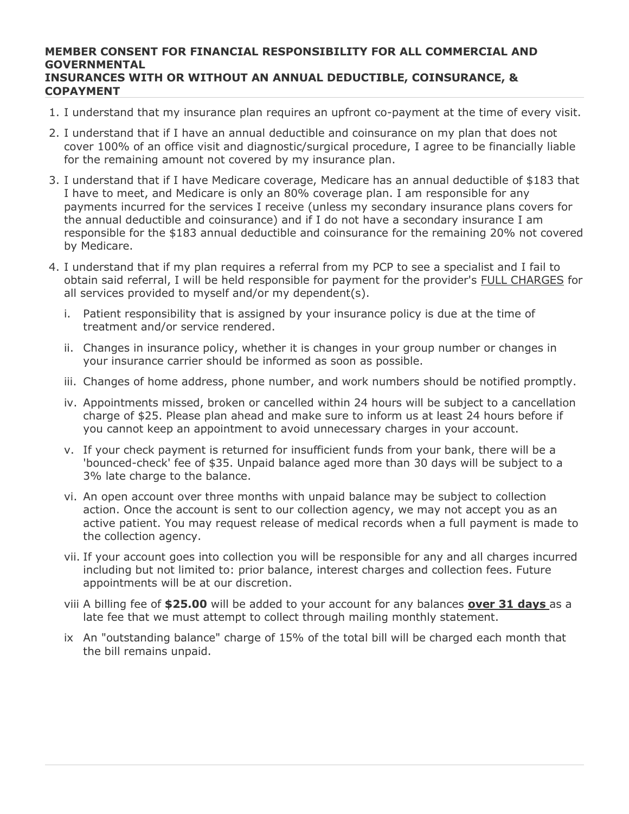## **MEMBER CONSENT FOR FINANCIAL RESPONSIBILITY FOR ALL COMMERCIAL AND GOVERNMENTAL INSURANCES WITH OR WITHOUT AN ANNUAL DEDUCTIBLE, COINSURANCE, & COPAYMENT**

- 1. I understand that my insurance plan requires an upfront co-payment at the time of every visit.
- 2. I understand that if I have an annual deductible and coinsurance on my plan that does not cover 100% of an office visit and diagnostic/surgical procedure, I agree to be financially liable for the remaining amount not covered by my insurance plan.
- 3. I understand that if I have Medicare coverage, Medicare has an annual deductible of \$183 that I have to meet, and Medicare is only an 80% coverage plan. I am responsible for any payments incurred for the services I receive (unless my secondary insurance plans covers for the annual deductible and coinsurance) and if I do not have a secondary insurance I am responsible for the \$183 annual deductible and coinsurance for the remaining 20% not covered by Medicare.
- 4. I understand that if my plan requires a referral from my PCP to see a specialist and I fail to obtain said referral, I will be held responsible for payment for the provider's FULL CHARGES for all services provided to myself and/or my dependent(s).
	- i. Patient responsibility that is assigned by your insurance policy is due at the time of treatment and/or service rendered.
	- ii. Changes in insurance policy, whether it is changes in your group number or changes in your insurance carrier should be informed as soon as possible.
	- iii. Changes of home address, phone number, and work numbers should be notified promptly.
	- iv. Appointments missed, broken or cancelled within 24 hours will be subject to a cancellation charge of \$25. Please plan ahead and make sure to inform us at least 24 hours before if you cannot keep an appointment to avoid unnecessary charges in your account.
	- v. If your check payment is returned for insufficient funds from your bank, there will be a 'bounced-check' fee of \$35. Unpaid balance aged more than 30 days will be subject to a 3% late charge to the balance.
	- vi. An open account over three months with unpaid balance may be subject to collection action. Once the account is sent to our collection agency, we may not accept you as an active patient. You may request release of medical records when a full payment is made to the collection agency.
	- vii. If your account goes into collection you will be responsible for any and all charges incurred including but not limited to: prior balance, interest charges and collection fees. Future appointments will be at our discretion.
	- viii A billing fee of **\$25.00** will be added to your account for any balances **over 31 days** as a late fee that we must attempt to collect through mailing monthly statement.
	- ix An "outstanding balance" charge of 15% of the total bill will be charged each month that the bill remains unpaid.